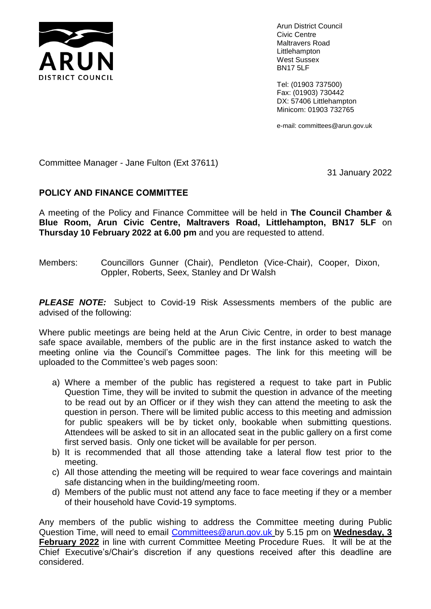

Arun District Council Civic Centre Maltravers Road Littlehampton West Sussex BN17 5LF

Tel: (01903 737500) Fax: (01903) 730442 DX: 57406 Littlehampton Minicom: 01903 732765

e-mail: committees@arun.gov.uk

Committee Manager - Jane Fulton (Ext 37611)

31 January 2022

# **POLICY AND FINANCE COMMITTEE**

A meeting of the Policy and Finance Committee will be held in **The Council Chamber & Blue Room, Arun Civic Centre, Maltravers Road, Littlehampton, BN17 5LF** on **Thursday 10 February 2022 at 6.00 pm** and you are requested to attend.

Members: Councillors Gunner (Chair), Pendleton (Vice-Chair), Cooper, Dixon, Oppler, Roberts, Seex, Stanley and Dr Walsh

**PLEASE NOTE:** Subject to Covid-19 Risk Assessments members of the public are advised of the following:

Where public meetings are being held at the Arun Civic Centre, in order to best manage safe space available, members of the public are in the first instance asked to watch the meeting online via the Council's Committee pages. The link for this meeting will be uploaded to the Committee's web pages soon:

- a) Where a member of the public has registered a request to take part in Public Question Time, they will be invited to submit the question in advance of the meeting to be read out by an Officer or if they wish they can attend the meeting to ask the question in person. There will be limited public access to this meeting and admission for public speakers will be by ticket only, bookable when submitting questions. Attendees will be asked to sit in an allocated seat in the public gallery on a first come first served basis. Only one ticket will be available for per person.
- b) It is recommended that all those attending take a lateral flow test prior to the meeting.
- c) All those attending the meeting will be required to wear face coverings and maintain safe distancing when in the building/meeting room.
- d) Members of the public must not attend any face to face meeting if they or a member of their household have Covid-19 symptoms.

Any members of the public wishing to address the Committee meeting during Public Question Time, will need to email [Committees@arun.gov.uk](mailto:Committees@arun.gov.uk) by 5.15 pm on **Wednesday, 3 February 2022** in line with current Committee Meeting Procedure Rues. It will be at the Chief Executive's/Chair's discretion if any questions received after this deadline are considered.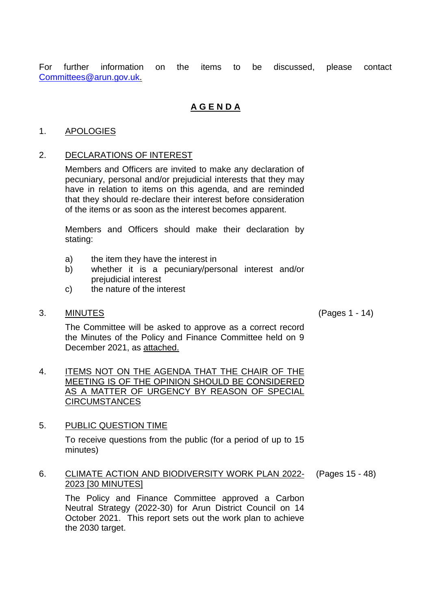For further information on the items to be discussed, please contact [Committees@arun.gov.uk.](mailto:Committees@arun.gov.uk)

# **A G E N D A**

# 1. APOLOGIES

# 2. DECLARATIONS OF INTEREST

Members and Officers are invited to make any declaration of pecuniary, personal and/or prejudicial interests that they may have in relation to items on this agenda, and are reminded that they should re-declare their interest before consideration of the items or as soon as the interest becomes apparent.

Members and Officers should make their declaration by stating:

- a) the item they have the interest in
- b) whether it is a pecuniary/personal interest and/or prejudicial interest
- c) the nature of the interest

#### 3. MINUTES (Pages 1 - 14)

The Committee will be asked to approve as a correct record the Minutes of the Policy and Finance Committee held on 9 December 2021, as attached.

4. ITEMS NOT ON THE AGENDA THAT THE CHAIR OF THE MEETING IS OF THE OPINION SHOULD BE CONSIDERED AS A MATTER OF URGENCY BY REASON OF SPECIAL **CIRCUMSTANCES** 

#### 5. PUBLIC QUESTION TIME

To receive questions from the public (for a period of up to 15 minutes)

#### 6. CLIMATE ACTION AND BIODIVERSITY WORK PLAN 2022- 2023 [30 MINUTES] (Pages 15 - 48)

The Policy and Finance Committee approved a Carbon Neutral Strategy (2022-30) for Arun District Council on 14 October 2021. This report sets out the work plan to achieve the 2030 target.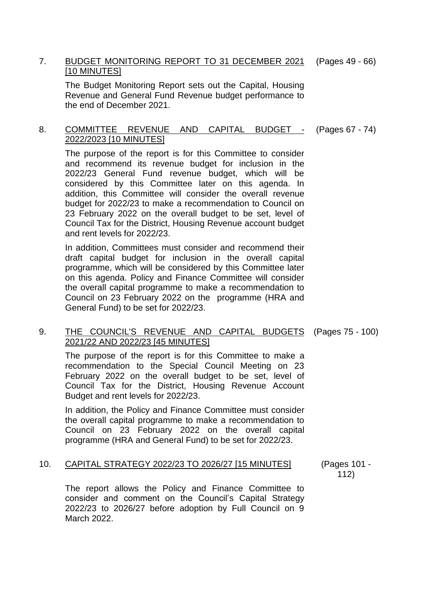#### 7. BUDGET MONITORING REPORT TO 31 DECEMBER 2021 [10 MINUTES] (Pages 49 - 66)

The Budget Monitoring Report sets out the Capital, Housing Revenue and General Fund Revenue budget performance to the end of December 2021.

#### 8. COMMITTEE REVENUE AND CAPITAL BUDGET - 2022/2023 [10 MINUTES] (Pages 67 - 74)

The purpose of the report is for this Committee to consider and recommend its revenue budget for inclusion in the 2022/23 General Fund revenue budget, which will be considered by this Committee later on this agenda. In addition, this Committee will consider the overall revenue budget for 2022/23 to make a recommendation to Council on 23 February 2022 on the overall budget to be set, level of Council Tax for the District, Housing Revenue account budget and rent levels for 2022/23.

In addition, Committees must consider and recommend their draft capital budget for inclusion in the overall capital programme, which will be considered by this Committee later on this agenda. Policy and Finance Committee will consider the overall capital programme to make a recommendation to Council on 23 February 2022 on the programme (HRA and General Fund) to be set for 2022/23.

### 9. THE COUNCIL'S REVENUE AND CAPITAL BUDGETS (Pages 75 - 100) 2021/22 AND 2022/23 [45 MINUTES]

The purpose of the report is for this Committee to make a recommendation to the Special Council Meeting on 23 February 2022 on the overall budget to be set, level of Council Tax for the District, Housing Revenue Account Budget and rent levels for 2022/23.

In addition, the Policy and Finance Committee must consider the overall capital programme to make a recommendation to Council on 23 February 2022 on the overall capital programme (HRA and General Fund) to be set for 2022/23.

#### 10. CAPITAL STRATEGY 2022/23 TO 2026/27 [15 MINUTES] (Pages 101 -

112)

The report allows the Policy and Finance Committee to consider and comment on the Council's Capital Strategy 2022/23 to 2026/27 before adoption by Full Council on 9 March 2022.